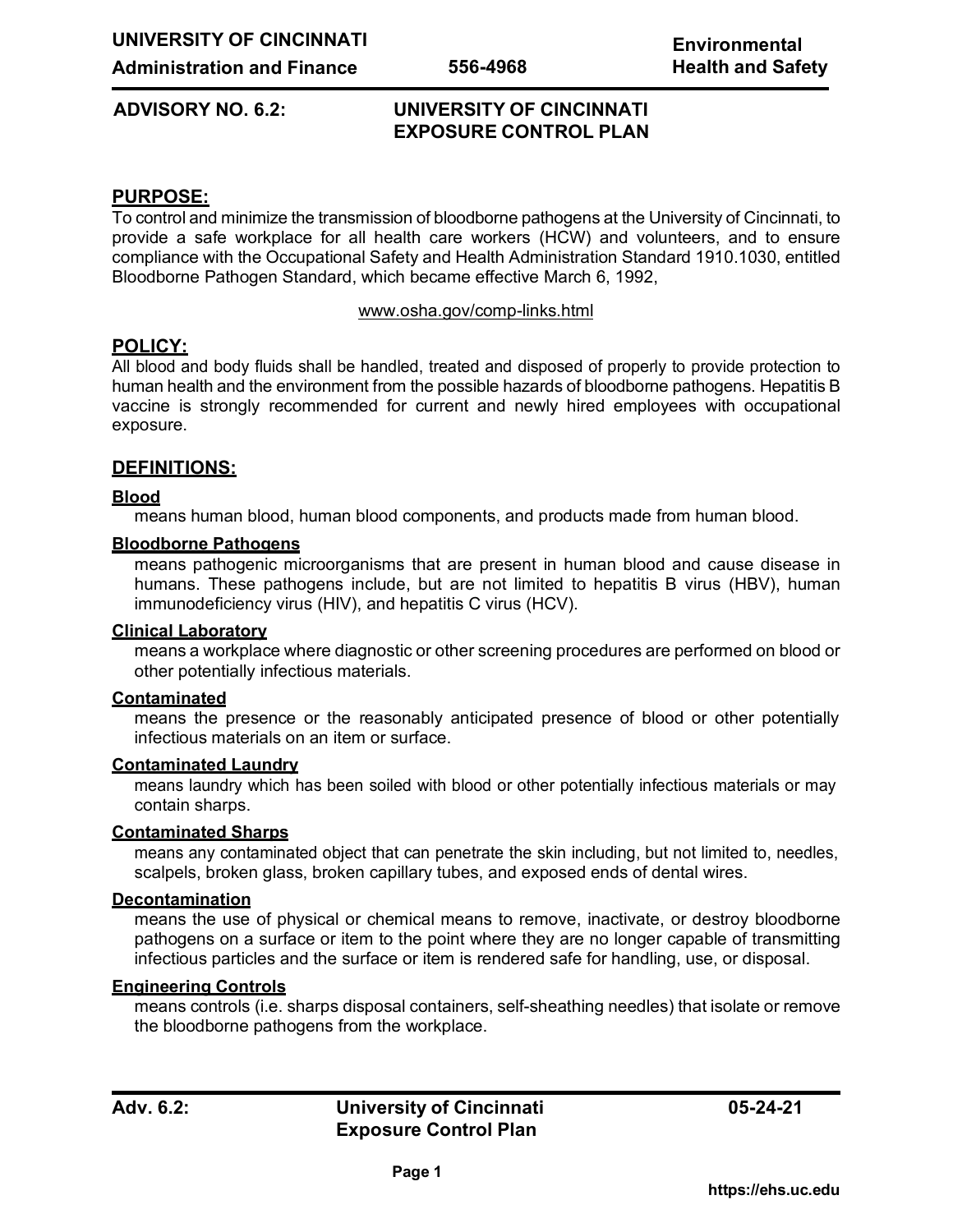# **ADVISORY NO. 6.2: UNIVERSITY OF CINCINNATI EXPOSURE CONTROL PLAN**

# **PURPOSE:**

To control and minimize the transmission of bloodborne pathogens at the University of Cincinnati, to provide a safe workplace for all health care workers (HCW) and volunteers, and to ensure compliance with the Occupational Safety and Health Administration Standard 1910.1030, entitled Bloodborne Pathogen Standard, which became effective March 6, 1992,

#### [www.osha.gov/comp-links.html](http://www.osha.gov/comp-links.html)

# **POLICY:**

All blood and body fluids shall be handled, treated and disposed of properly to provide protection to human health and the environment from the possible hazards of bloodborne pathogens. Hepatitis B vaccine is strongly recommended for current and newly hired employees with occupational exposure.

## **DEFINITIONS:**

### **Blood**

means human blood, human blood components, and products made from human blood.

### **Bloodborne Pathogens**

means pathogenic microorganisms that are present in human blood and cause disease in humans. These pathogens include, but are not limited to hepatitis B virus (HBV), human immunodeficiency virus (HIV), and hepatitis C virus (HCV).

#### **Clinical Laboratory**

means a workplace where diagnostic or other screening procedures are performed on blood or other potentially infectious materials.

#### **Contaminated**

means the presence or the reasonably anticipated presence of blood or other potentially infectious materials on an item or surface.

#### **Contaminated Laundry**

means laundry which has been soiled with blood or other potentially infectious materials or may contain sharps.

## **Contaminated Sharps**

means any contaminated object that can penetrate the skin including, but not limited to, needles, scalpels, broken glass, broken capillary tubes, and exposed ends of dental wires.

#### **Decontamination**

means the use of physical or chemical means to remove, inactivate, or destroy bloodborne pathogens on a surface or item to the point where they are no longer capable of transmitting infectious particles and the surface or item is rendered safe for handling, use, or disposal.

#### **Engineering Controls**

means controls (i.e. sharps disposal containers, self-sheathing needles) that isolate or remove the bloodborne pathogens from the workplace.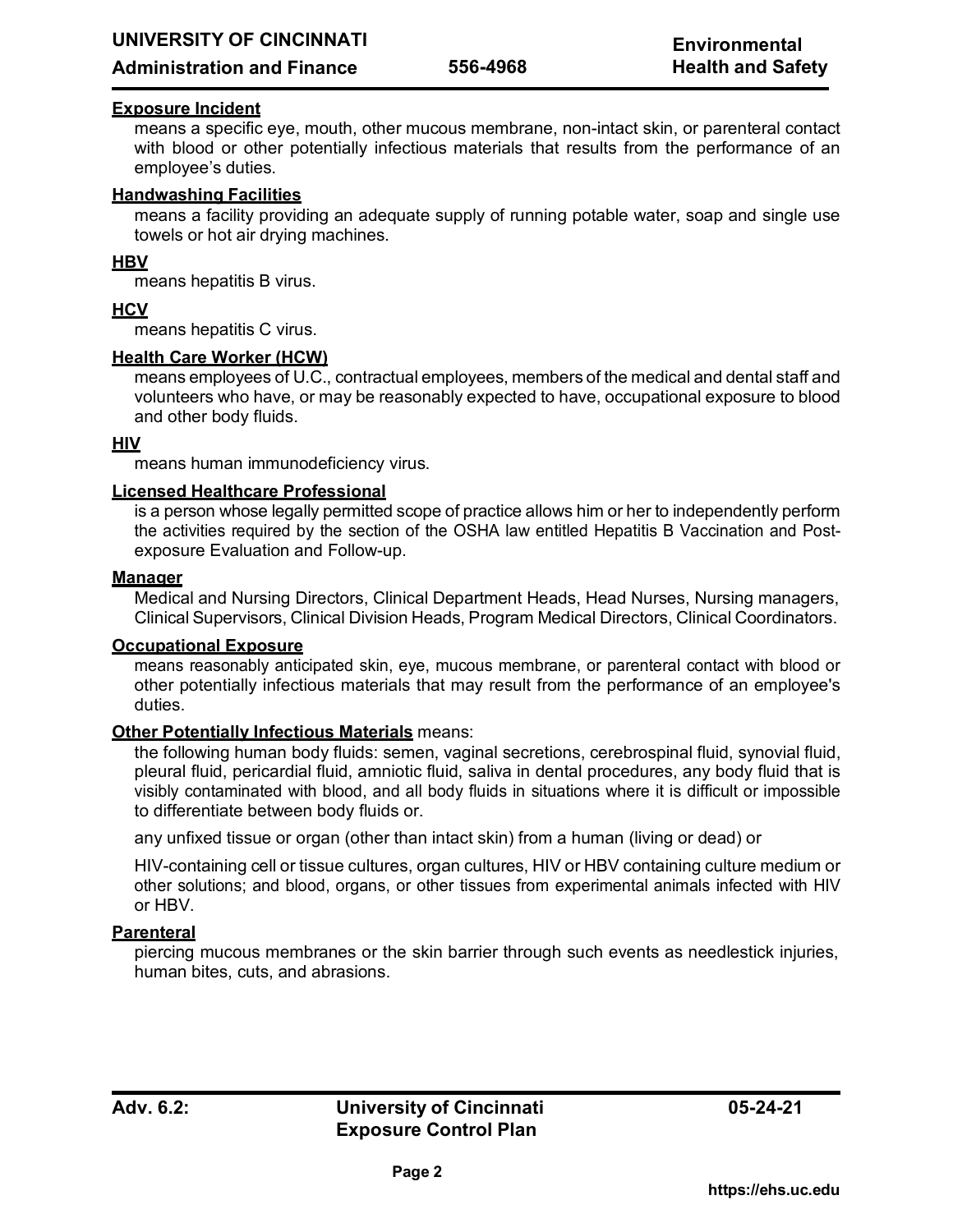## **Administration and Finance**

# **Exposure Incident**

means a specific eye, mouth, other mucous membrane, non-intact skin, or parenteral contact with blood or other potentially infectious materials that results from the performance of an employee's duties.

## **Handwashing Facilities**

means a facility providing an adequate supply of running potable water, soap and single use towels or hot air drying machines.

## **HBV**

means hepatitis B virus.

## **HCV**

means hepatitis C virus.

### **Health Care Worker (HCW)**

means employees of U.C., contractual employees, members of the medical and dental staff and volunteers who have, or may be reasonably expected to have, occupational exposure to blood and other body fluids.

### **HIV**

means human immunodeficiency virus.

### **Licensed Healthcare Professional**

is a person whose legally permitted scope of practice allows him or her to independently perform the activities required by the section of the OSHA law entitled Hepatitis B Vaccination and Postexposure Evaluation and Follow-up.

#### **Manager**

Medical and Nursing Directors, Clinical Department Heads, Head Nurses, Nursing managers, Clinical Supervisors, Clinical Division Heads, Program Medical Directors, Clinical Coordinators.

#### **Occupational Exposure**

means reasonably anticipated skin, eye, mucous membrane, or parenteral contact with blood or other potentially infectious materials that may result from the performance of an employee's duties.

#### **Other Potentially Infectious Materials** means:

the following human body fluids: semen, vaginal secretions, cerebrospinal fluid, synovial fluid, pleural fluid, pericardial fluid, amniotic fluid, saliva in dental procedures, any body fluid that is visibly contaminated with blood, and all body fluids in situations where it is difficult or impossible to differentiate between body fluids or.

any unfixed tissue or organ (other than intact skin) from a human (living or dead) or

HIV-containing cell or tissue cultures, organ cultures, HIV or HBV containing culture medium or other solutions; and blood, organs, or other tissues from experimental animals infected with HIV or HBV.

## **Parenteral**

piercing mucous membranes or the skin barrier through such events as needlestick injuries, human bites, cuts, and abrasions.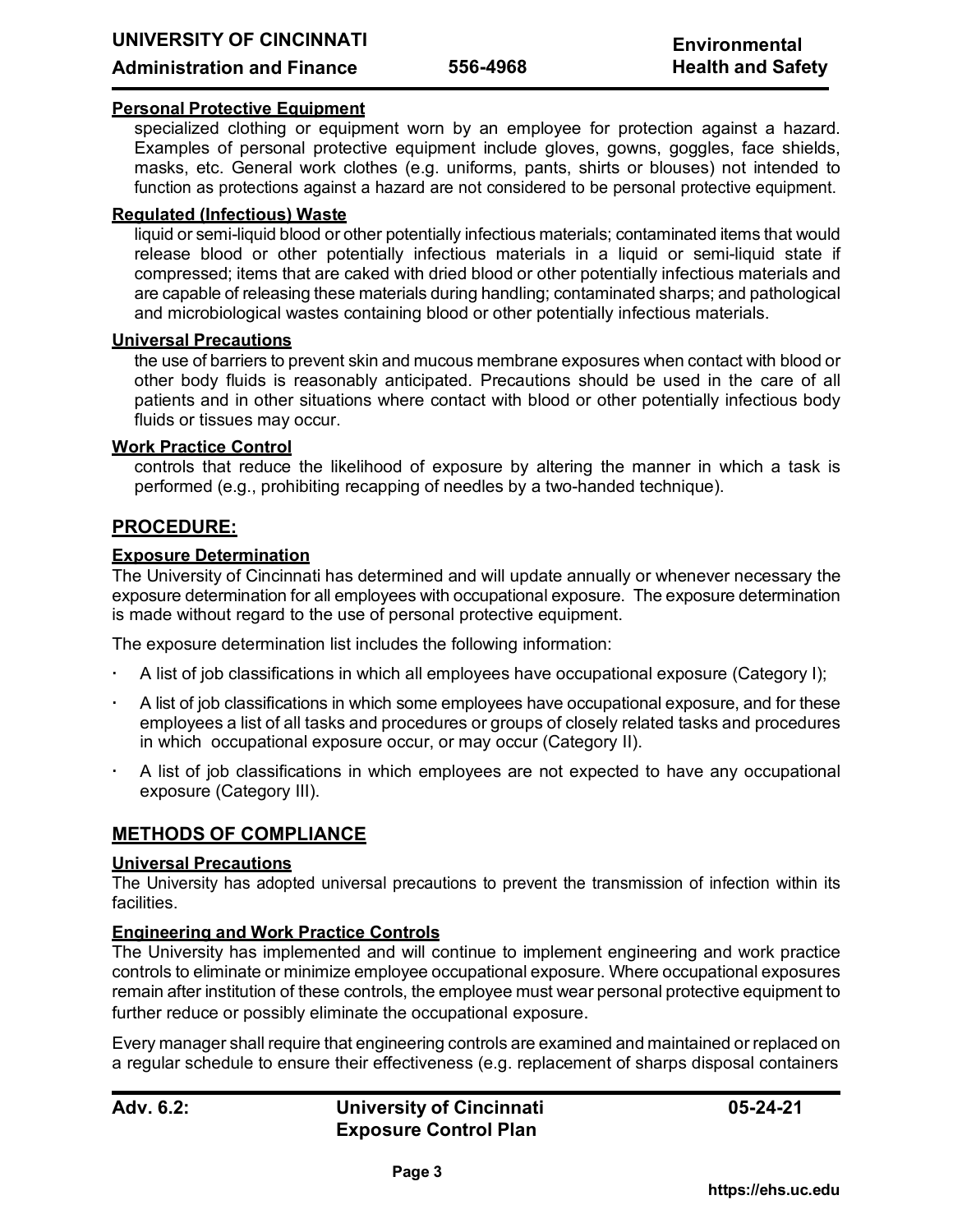## **Administration and Finance**

## **Personal Protective Equipment**

specialized clothing or equipment worn by an employee for protection against a hazard. Examples of personal protective equipment include gloves, gowns, goggles, face shields, masks, etc. General work clothes (e.g. uniforms, pants, shirts or blouses) not intended to function as protections against a hazard are not considered to be personal protective equipment.

## **Regulated (Infectious) Waste**

liquid or semi-liquid blood or other potentially infectious materials; contaminated items that would release blood or other potentially infectious materials in a liquid or semi-liquid state if compressed; items that are caked with dried blood or other potentially infectious materials and are capable of releasing these materials during handling; contaminated sharps; and pathological and microbiological wastes containing blood or other potentially infectious materials.

## **Universal Precautions**

the use of barriers to prevent skin and mucous membrane exposures when contact with blood or other body fluids is reasonably anticipated. Precautions should be used in the care of all patients and in other situations where contact with blood or other potentially infectious body fluids or tissues may occur.

### **Work Practice Control**

controls that reduce the likelihood of exposure by altering the manner in which a task is performed (e.g., prohibiting recapping of needles by a two-handed technique).

# **PROCEDURE:**

### **Exposure Determination**

The University of Cincinnati has determined and will update annually or whenever necessary the exposure determination for all employees with occupational exposure. The exposure determination is made without regard to the use of personal protective equipment.

The exposure determination list includes the following information:

- A list of job classifications in which all employees have occupational exposure (Category I);
- A list of job classifications in which some employees have occupational exposure, and for these employees a list of all tasks and procedures or groups of closely related tasks and procedures in which occupational exposure occur, or may occur (Category II).
- A list of job classifications in which employees are not expected to have any occupational exposure (Category III).

# **METHODS OF COMPLIANCE**

#### **Universal Precautions**

The University has adopted universal precautions to prevent the transmission of infection within its facilities.

## **Engineering and Work Practice Controls**

The University has implemented and will continue to implement engineering and work practice controls to eliminate or minimize employee occupational exposure. Where occupational exposures remain after institution of these controls, the employee must wear personal protective equipment to further reduce or possibly eliminate the occupational exposure.

Every manager shall require that engineering controls are examined and maintained or replaced on a regular schedule to ensure their effectiveness (e.g. replacement of sharps disposal containers

**Adv. 6.2: University of Cincinnati Exposure Control Plan**

**05-24-21**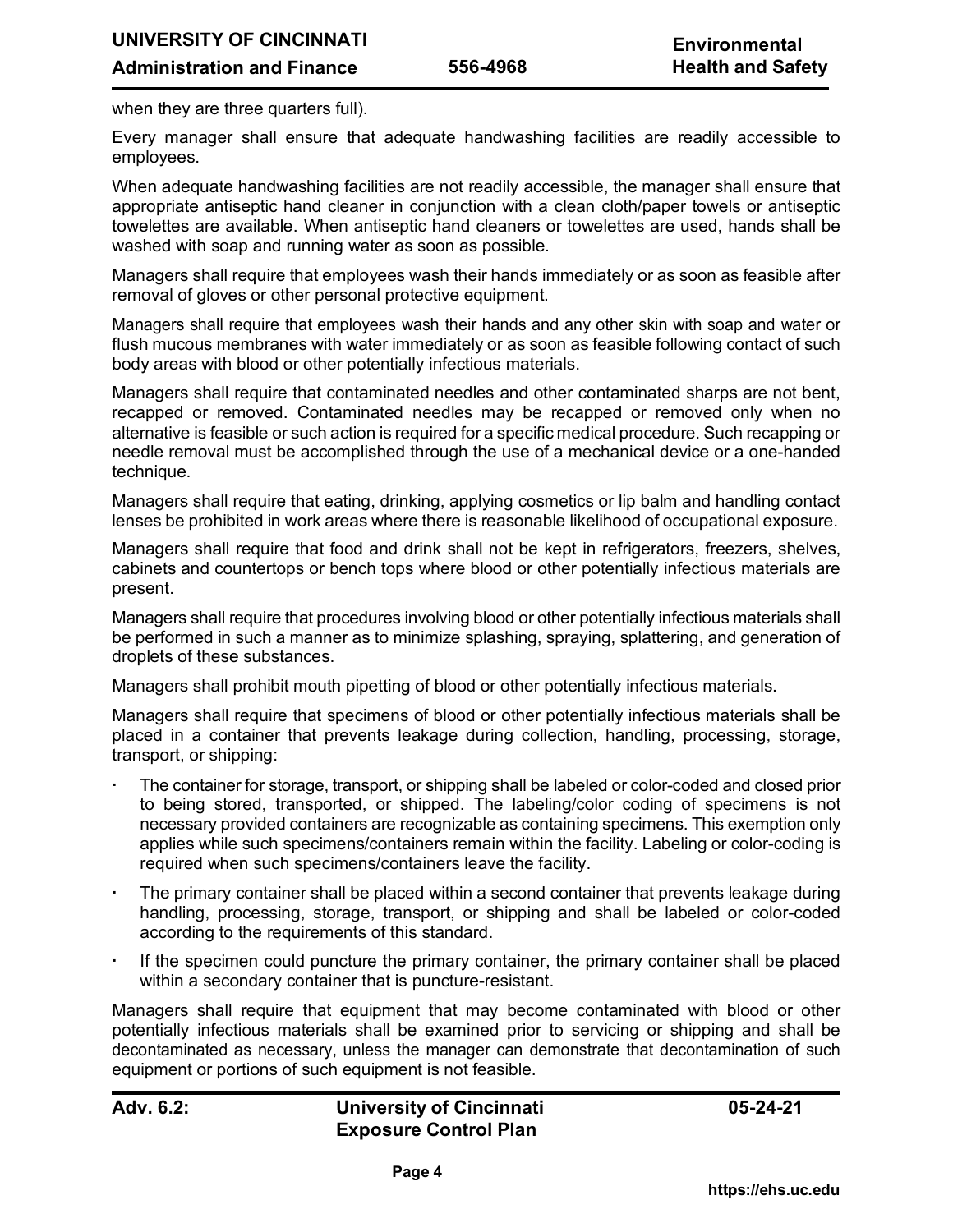when they are three quarters full).

Every manager shall ensure that adequate handwashing facilities are readily accessible to employees.

When adequate handwashing facilities are not readily accessible, the manager shall ensure that appropriate antiseptic hand cleaner in conjunction with a clean cloth/paper towels or antiseptic towelettes are available. When antiseptic hand cleaners or towelettes are used, hands shall be washed with soap and running water as soon as possible.

Managers shall require that employees wash their hands immediately or as soon as feasible after removal of gloves or other personal protective equipment.

Managers shall require that employees wash their hands and any other skin with soap and water or flush mucous membranes with water immediately or as soon as feasible following contact of such body areas with blood or other potentially infectious materials.

Managers shall require that contaminated needles and other contaminated sharps are not bent, recapped or removed. Contaminated needles may be recapped or removed only when no alternative is feasible or such action is required for a specific medical procedure. Such recapping or needle removal must be accomplished through the use of a mechanical device or a one-handed technique.

Managers shall require that eating, drinking, applying cosmetics or lip balm and handling contact lenses be prohibited in work areas where there is reasonable likelihood of occupational exposure.

Managers shall require that food and drink shall not be kept in refrigerators, freezers, shelves, cabinets and countertops or bench tops where blood or other potentially infectious materials are present.

Managers shall require that procedures involving blood or other potentially infectious materials shall be performed in such a manner as to minimize splashing, spraying, splattering, and generation of droplets of these substances.

Managers shall prohibit mouth pipetting of blood or other potentially infectious materials.

Managers shall require that specimens of blood or other potentially infectious materials shall be placed in a container that prevents leakage during collection, handling, processing, storage, transport, or shipping:

- The container for storage, transport, or shipping shall be labeled or color-coded and closed prior to being stored, transported, or shipped. The labeling/color coding of specimens is not necessary provided containers are recognizable as containing specimens. This exemption only applies while such specimens/containers remain within the facility. Labeling or color-coding is required when such specimens/containers leave the facility.
- The primary container shall be placed within a second container that prevents leakage during handling, processing, storage, transport, or shipping and shall be labeled or color-coded according to the requirements of this standard.
- If the specimen could puncture the primary container, the primary container shall be placed within a secondary container that is puncture-resistant.

Managers shall require that equipment that may become contaminated with blood or other potentially infectious materials shall be examined prior to servicing or shipping and shall be decontaminated as necessary, unless the manager can demonstrate that decontamination of such equipment or portions of such equipment is not feasible.

# **Adv. 6.2: University of Cincinnati Exposure Control Plan**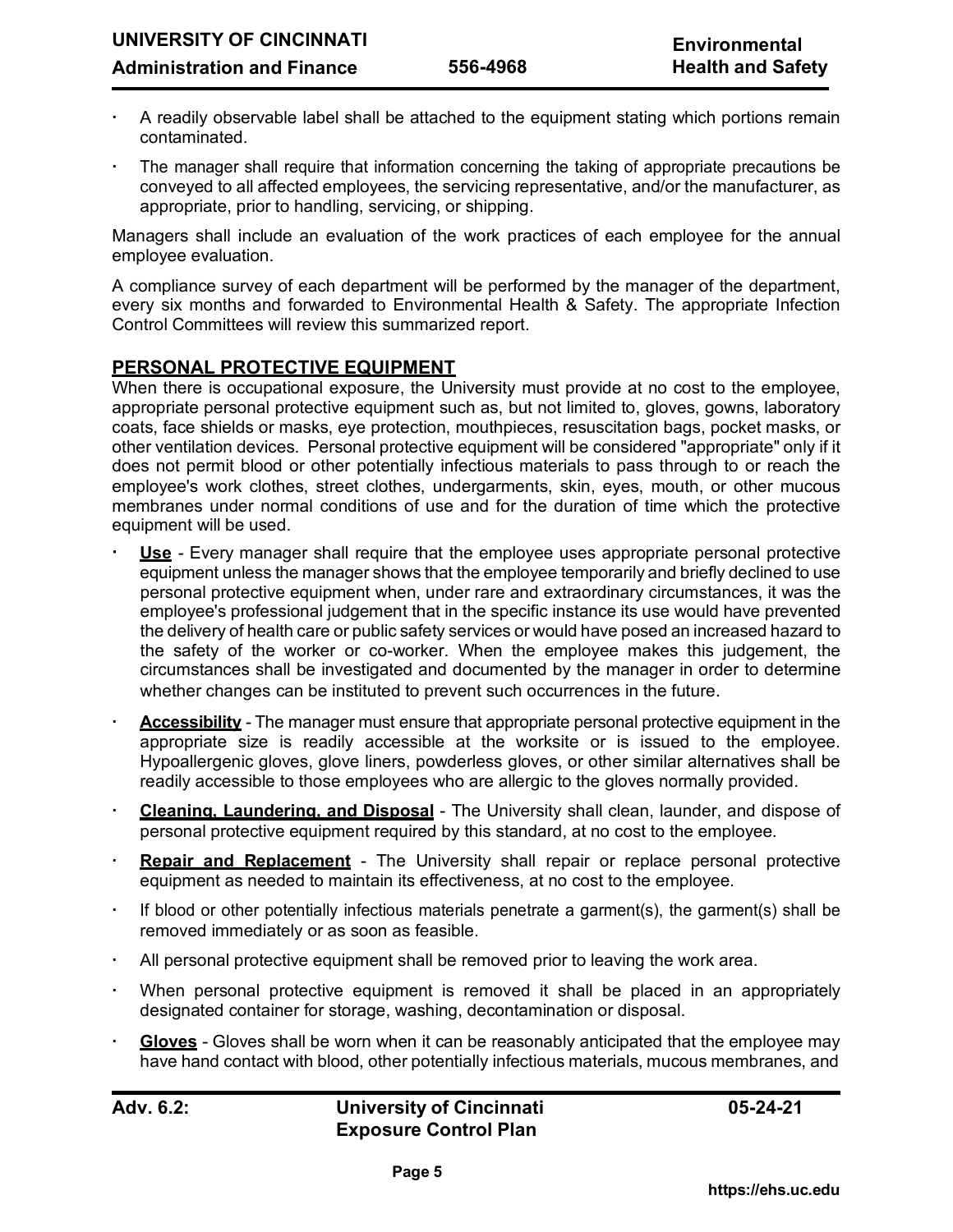- A readily observable label shall be attached to the equipment stating which portions remain contaminated.
- The manager shall require that information concerning the taking of appropriate precautions be conveyed to all affected employees, the servicing representative, and/or the manufacturer, as appropriate, prior to handling, servicing, or shipping.

Managers shall include an evaluation of the work practices of each employee for the annual employee evaluation.

A compliance survey of each department will be performed by the manager of the department, every six months and forwarded to Environmental Health & Safety. The appropriate Infection Control Committees will review this summarized report.

# **PERSONAL PROTECTIVE EQUIPMENT**

When there is occupational exposure, the University must provide at no cost to the employee, appropriate personal protective equipment such as, but not limited to, gloves, gowns, laboratory coats, face shields or masks, eye protection, mouthpieces, resuscitation bags, pocket masks, or other ventilation devices. Personal protective equipment will be considered "appropriate" only if it does not permit blood or other potentially infectious materials to pass through to or reach the employee's work clothes, street clothes, undergarments, skin, eyes, mouth, or other mucous membranes under normal conditions of use and for the duration of time which the protective equipment will be used.

- **Use** Every manager shall require that the employee uses appropriate personal protective equipment unless the manager shows that the employee temporarily and briefly declined to use personal protective equipment when, under rare and extraordinary circumstances, it was the employee's professional judgement that in the specific instance its use would have prevented the delivery of health care or public safety services or would have posed an increased hazard to the safety of the worker or co-worker. When the employee makes this judgement, the circumstances shall be investigated and documented by the manager in order to determine whether changes can be instituted to prevent such occurrences in the future.
- **Accessibility** The manager must ensure that appropriate personal protective equipment in the appropriate size is readily accessible at the worksite or is issued to the employee. Hypoallergenic gloves, glove liners, powderless gloves, or other similar alternatives shall be readily accessible to those employees who are allergic to the gloves normally provided.
- **Cleaning, Laundering, and Disposal** The University shall clean, launder, and dispose of personal protective equipment required by this standard, at no cost to the employee.
- **Repair and Replacement** The University shall repair or replace personal protective equipment as needed to maintain its effectiveness, at no cost to the employee.
- If blood or other potentially infectious materials penetrate a garment(s), the garment(s) shall be removed immediately or as soon as feasible.
- All personal protective equipment shall be removed prior to leaving the work area.
- When personal protective equipment is removed it shall be placed in an appropriately designated container for storage, washing, decontamination or disposal.
- **Gloves** Gloves shall be worn when it can be reasonably anticipated that the employee may have hand contact with blood, other potentially infectious materials, mucous membranes, and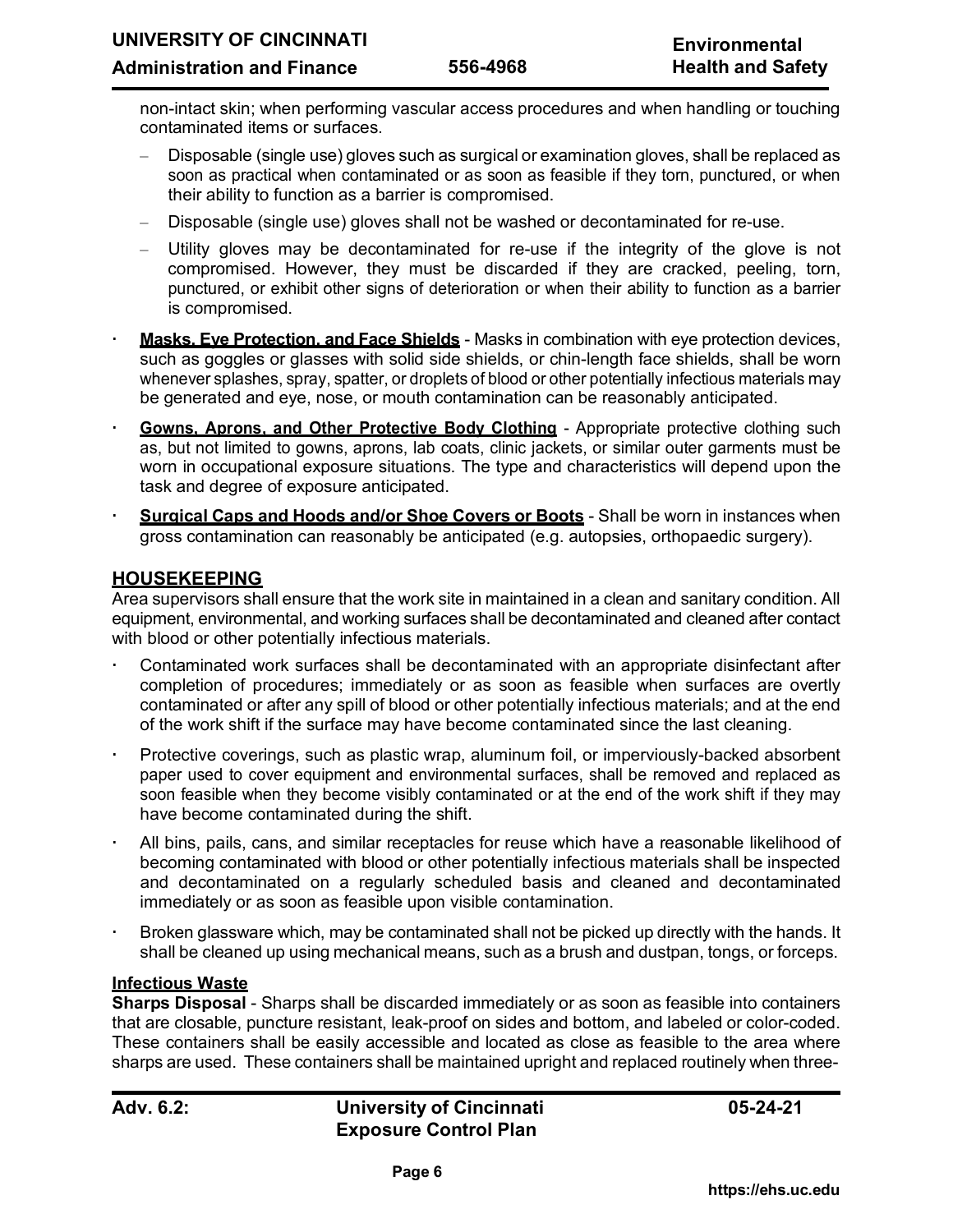non-intact skin; when performing vascular access procedures and when handling or touching contaminated items or surfaces.

- Disposable (single use) gloves such as surgical or examination gloves, shall be replaced as soon as practical when contaminated or as soon as feasible if they torn, punctured, or when their ability to function as a barrier is compromised.
- Disposable (single use) gloves shall not be washed or decontaminated for re-use.
- Utility gloves may be decontaminated for re-use if the integrity of the glove is not compromised. However, they must be discarded if they are cracked, peeling, torn, punctured, or exhibit other signs of deterioration or when their ability to function as a barrier is compromised.
- **Masks, Eye Protection, and Face Shields** Masks in combination with eye protection devices, such as goggles or glasses with solid side shields, or chin-length face shields, shall be worn whenever splashes, spray, spatter, or droplets of blood or other potentially infectious materials may be generated and eye, nose, or mouth contamination can be reasonably anticipated.
- **Gowns, Aprons, and Other Protective Body Clothing** Appropriate protective clothing such as, but not limited to gowns, aprons, lab coats, clinic jackets, or similar outer garments must be worn in occupational exposure situations. The type and characteristics will depend upon the task and degree of exposure anticipated.
- **Surgical Caps and Hoods and/or Shoe Covers or Boots** Shall be worn in instances when gross contamination can reasonably be anticipated (e.g. autopsies, orthopaedic surgery).

# **HOUSEKEEPING**

Area supervisors shall ensure that the work site in maintained in a clean and sanitary condition. All equipment, environmental, and working surfaces shall be decontaminated and cleaned after contact with blood or other potentially infectious materials.

- Contaminated work surfaces shall be decontaminated with an appropriate disinfectant after completion of procedures; immediately or as soon as feasible when surfaces are overtly contaminated or after any spill of blood or other potentially infectious materials; and at the end of the work shift if the surface may have become contaminated since the last cleaning.
- Protective coverings, such as plastic wrap, aluminum foil, or imperviously-backed absorbent paper used to cover equipment and environmental surfaces, shall be removed and replaced as soon feasible when they become visibly contaminated or at the end of the work shift if they may have become contaminated during the shift.
- All bins, pails, cans, and similar receptacles for reuse which have a reasonable likelihood of becoming contaminated with blood or other potentially infectious materials shall be inspected and decontaminated on a regularly scheduled basis and cleaned and decontaminated immediately or as soon as feasible upon visible contamination.
- Broken glassware which, may be contaminated shall not be picked up directly with the hands. It shall be cleaned up using mechanical means, such as a brush and dustpan, tongs, or forceps.

#### **Infectious Waste**

**Sharps Disposal** - Sharps shall be discarded immediately or as soon as feasible into containers that are closable, puncture resistant, leak-proof on sides and bottom, and labeled or color-coded. These containers shall be easily accessible and located as close as feasible to the area where sharps are used. These containers shall be maintained upright and replaced routinely when three-

# **Adv. 6.2: University of Cincinnati Exposure Control Plan**

**05-24-21**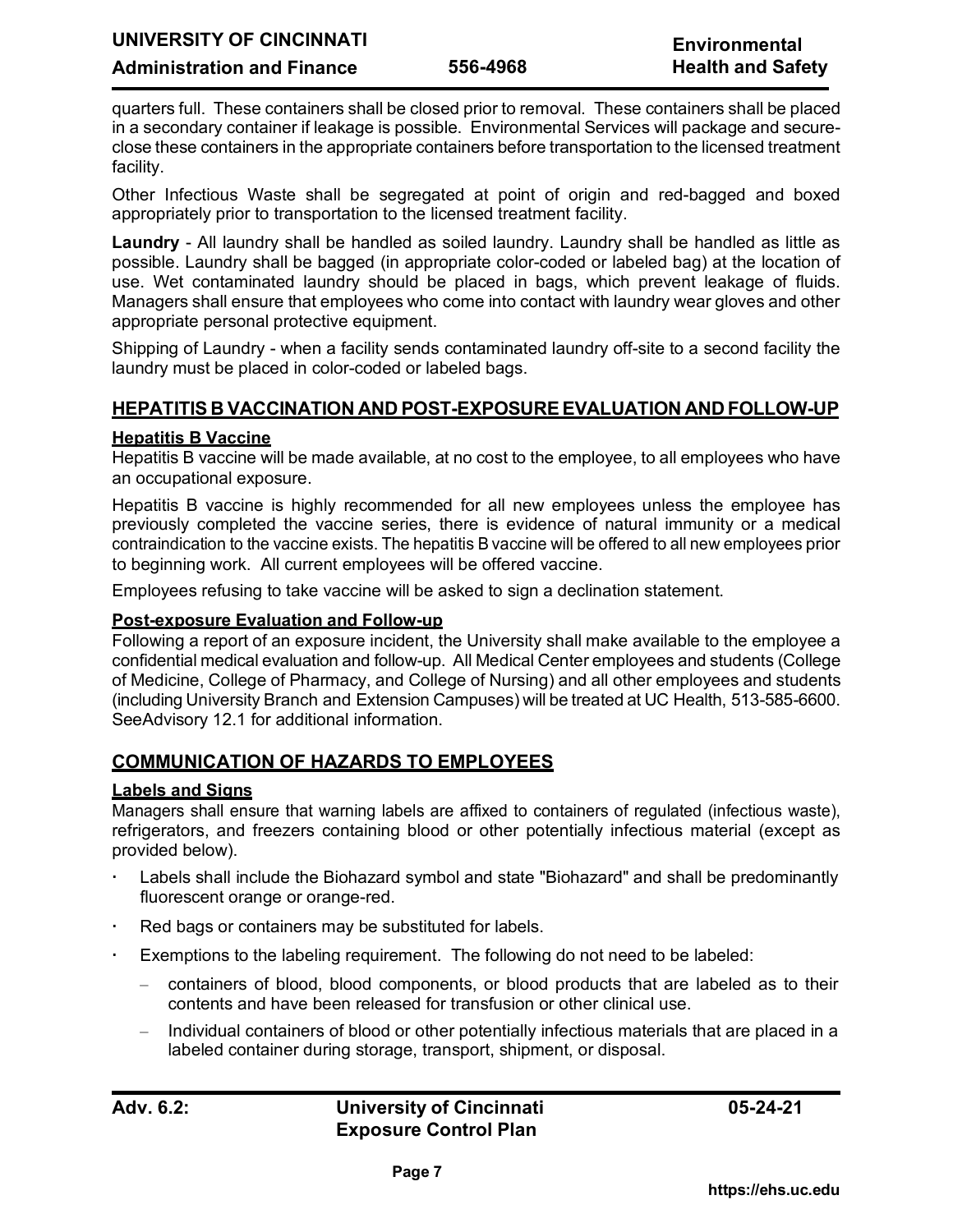quarters full. These containers shall be closed prior to removal. These containers shall be placed in a secondary container if leakage is possible. Environmental Services will package and secureclose these containers in the appropriate containers before transportation to the licensed treatment facility.

Other Infectious Waste shall be segregated at point of origin and red-bagged and boxed appropriately prior to transportation to the licensed treatment facility.

**Laundry** - All laundry shall be handled as soiled laundry. Laundry shall be handled as little as possible. Laundry shall be bagged (in appropriate color-coded or labeled bag) at the location of use. Wet contaminated laundry should be placed in bags, which prevent leakage of fluids. Managers shall ensure that employees who come into contact with laundry wear gloves and other appropriate personal protective equipment.

Shipping of Laundry - when a facility sends contaminated laundry off-site to a second facility the laundry must be placed in color-coded or labeled bags.

# **HEPATITIS B VACCINATION AND POST-EXPOSUREEVALUATION AND FOLLOW-UP**

## **Hepatitis B Vaccine**

Hepatitis B vaccine will be made available, at no cost to the employee, to all employees who have an occupational exposure.

Hepatitis B vaccine is highly recommended for all new employees unless the employee has previously completed the vaccine series, there is evidence of natural immunity or a medical contraindication to the vaccine exists. The hepatitis B vaccine will be offered to all new employees prior to beginning work. All current employees will be offered vaccine.

Employees refusing to take vaccine will be asked to sign a declination statement.

## **Post-exposure Evaluation and Follow-up**

Following a report of an exposure incident, the University shall make available to the employee a confidential medical evaluation and follow-up. All Medical Center employees and students (College of Medicine, College of Pharmacy, and College of Nursing) and all other employees and students (including University Branch and Extension Campuses) will be treated at UC Health, 513-585-6600. SeeAdvisory 12.1 for additional information.

# **COMMUNICATION OF HAZARDS TO EMPLOYEES**

## **Labels and Signs**

Managers shall ensure that warning labels are affixed to containers of regulated (infectious waste), refrigerators, and freezers containing blood or other potentially infectious material (except as provided below).

- Labels shall include the Biohazard symbol and state "Biohazard" and shall be predominantly fluorescent orange or orange-red.
- Red bags or containers may be substituted for labels.
- Exemptions to the labeling requirement. The following do not need to be labeled:
	- containers of blood, blood components, or blood products that are labeled as to their contents and have been released for transfusion or other clinical use.
	- Individual containers of blood or other potentially infectious materials that are placed in a labeled container during storage, transport, shipment, or disposal.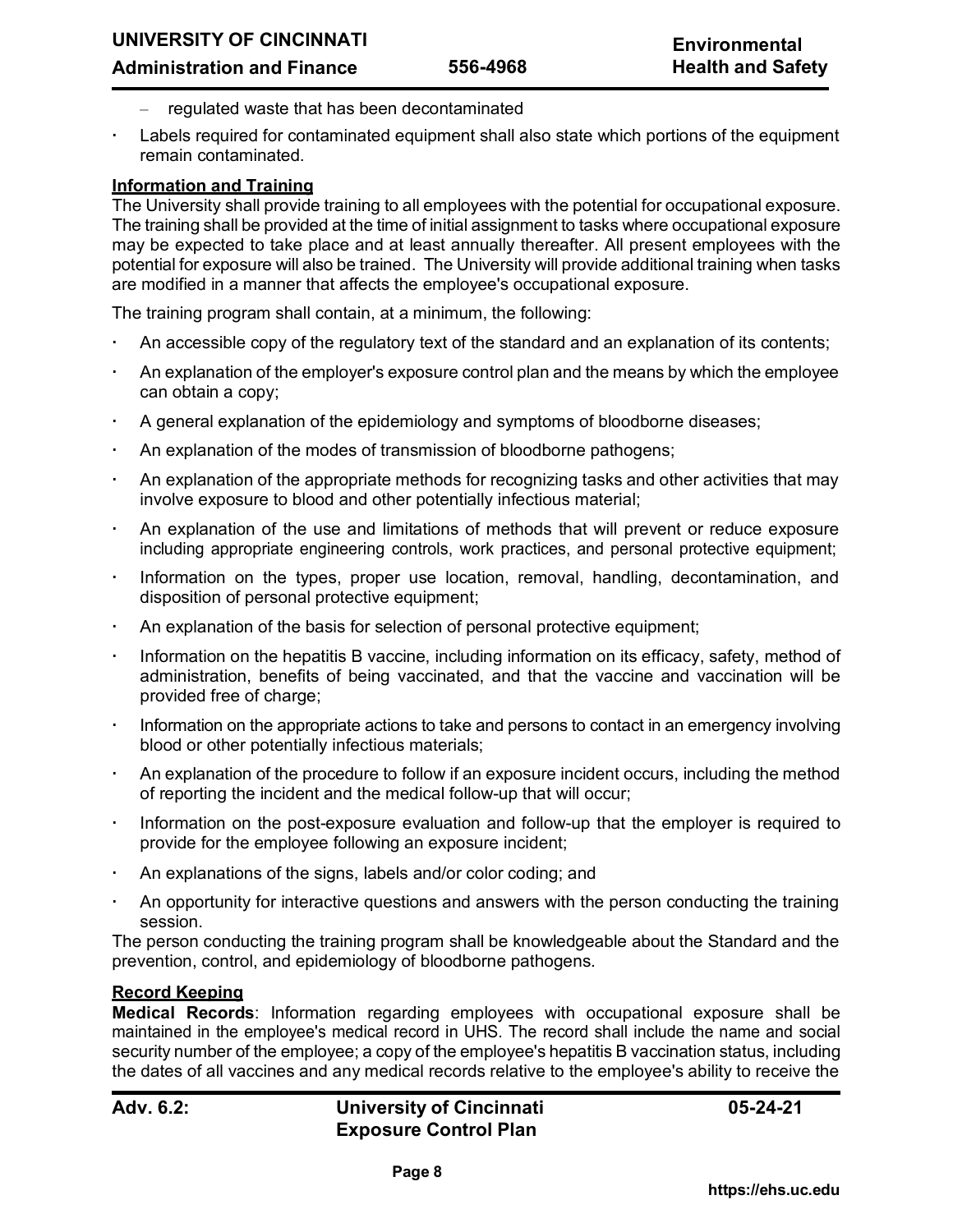- regulated waste that has been decontaminated
- Labels required for contaminated equipment shall also state which portions of the equipment remain contaminated.

# **Information and Training**

The University shall provide training to all employees with the potential for occupational exposure. The training shall be provided at the time of initial assignment to tasks where occupational exposure may be expected to take place and at least annually thereafter. All present employees with the potential for exposure will also be trained. The University will provide additional training when tasks are modified in a manner that affects the employee's occupational exposure.

The training program shall contain, at a minimum, the following:

- An accessible copy of the regulatory text of the standard and an explanation of its contents;
- An explanation of the employer's exposure control plan and the means by which the employee can obtain a copy;
- A general explanation of the epidemiology and symptoms of bloodborne diseases;
- An explanation of the modes of transmission of bloodborne pathogens;
- An explanation of the appropriate methods for recognizing tasks and other activities that may involve exposure to blood and other potentially infectious material;
- An explanation of the use and limitations of methods that will prevent or reduce exposure including appropriate engineering controls, work practices, and personal protective equipment;
- Information on the types, proper use location, removal, handling, decontamination, and disposition of personal protective equipment;
- An explanation of the basis for selection of personal protective equipment;
- Information on the hepatitis B vaccine, including information on its efficacy, safety, method of administration, benefits of being vaccinated, and that the vaccine and vaccination will be provided free of charge;
- Information on the appropriate actions to take and persons to contact in an emergency involving blood or other potentially infectious materials;
- An explanation of the procedure to follow if an exposure incident occurs, including the method of reporting the incident and the medical follow-up that will occur;
- Information on the post-exposure evaluation and follow-up that the employer is required to provide for the employee following an exposure incident;
- An explanations of the signs, labels and/or color coding; and
- An opportunity for interactive questions and answers with the person conducting the training session.

The person conducting the training program shall be knowledgeable about the Standard and the prevention, control, and epidemiology of bloodborne pathogens.

# **Record Keeping**

**Medical Records**: Information regarding employees with occupational exposure shall be maintained in the employee's medical record in UHS. The record shall include the name and social security number of the employee; a copy of the employee's hepatitis B vaccination status, including the dates of all vaccines and any medical records relative to the employee's ability to receive the